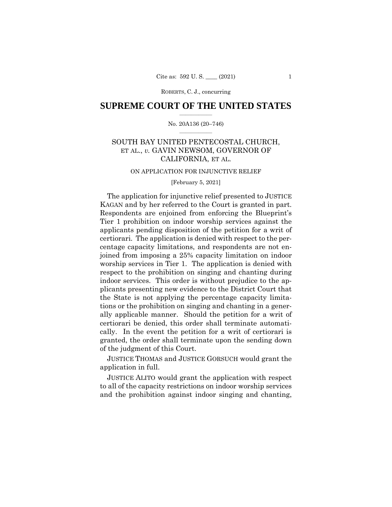ROBERTS, C. J., concurring

# **SUPREME COURT OF THE UNITED STATES**  $\overline{\phantom{a}}$  , where  $\overline{\phantom{a}}$

## No. 20A136 (20–746)  $\overline{\phantom{a}}$  , where  $\overline{\phantom{a}}$

# SOUTH BAY UNITED PENTECOSTAL CHURCH, ET AL., *v.* GAVIN NEWSOM, GOVERNOR OF CALIFORNIA, ET AL.

#### ON APPLICATION FOR INJUNCTIVE RELIEF

## [February 5, 2021]

The application for injunctive relief presented to JUSTICE KAGAN and by her referred to the Court is granted in part. Respondents are enjoined from enforcing the Blueprint's Tier 1 prohibition on indoor worship services against the applicants pending disposition of the petition for a writ of certiorari. The application is denied with respect to the percentage capacity limitations, and respondents are not enjoined from imposing a 25% capacity limitation on indoor worship services in Tier 1. The application is denied with respect to the prohibition on singing and chanting during indoor services. This order is without prejudice to the applicants presenting new evidence to the District Court that the State is not applying the percentage capacity limitations or the prohibition on singing and chanting in a generally applicable manner. Should the petition for a writ of certiorari be denied, this order shall terminate automatically. In the event the petition for a writ of certiorari is granted, the order shall terminate upon the sending down of the judgment of this Court.

 JUSTICE THOMAS and JUSTICE GORSUCH would grant the application in full.

 JUSTICE ALITO would grant the application with respect to all of the capacity restrictions on indoor worship services and the prohibition against indoor singing and chanting,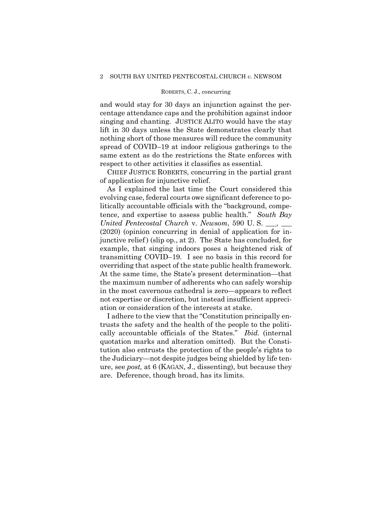# ROBERTS, C. J., concurring

and would stay for 30 days an injunction against the percentage attendance caps and the prohibition against indoor singing and chanting. JUSTICE ALITO would have the stay lift in 30 days unless the State demonstrates clearly that nothing short of those measures will reduce the community spread of COVID–19 at indoor religious gatherings to the same extent as do the restrictions the State enforces with respect to other activities it classifies as essential.

 CHIEF JUSTICE ROBERTS, concurring in the partial grant of application for injunctive relief.

As I explained the last time the Court considered this evolving case, federal courts owe significant deference to politically accountable officials with the "background, competence, and expertise to assess public health." *South Bay United Pentecostal Church* v. *Newsom*, 590 U. S. \_\_\_, \_\_\_ (2020) (opinion concurring in denial of application for injunctive relief) (slip op., at 2). The State has concluded, for example, that singing indoors poses a heightened risk of transmitting COVID–19. I see no basis in this record for overriding that aspect of the state public health framework. At the same time, the State's present determination—that the maximum number of adherents who can safely worship in the most cavernous cathedral is zero—appears to reflect not expertise or discretion, but instead insufficient appreciation or consideration of the interests at stake.

I adhere to the view that the "Constitution principally entrusts the safety and the health of the people to the politically accountable officials of the States." *Ibid.* (internal quotation marks and alteration omitted). But the Constitution also entrusts the protection of the people's rights to the Judiciary—not despite judges being shielded by life tenure, see *post,* at 6 (KAGAN, J., dissenting), but because they are. Deference, though broad, has its limits.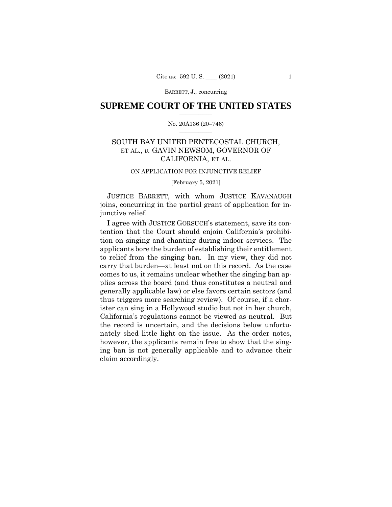BARRETT, J., concurring

# **SUPREME COURT OF THE UNITED STATES**  $\overline{\phantom{a}}$  , where  $\overline{\phantom{a}}$

## No. 20A136 (20–746)  $\overline{\phantom{a}}$  , where  $\overline{\phantom{a}}$

# SOUTH BAY UNITED PENTECOSTAL CHURCH, ET AL., *v.* GAVIN NEWSOM, GOVERNOR OF CALIFORNIA, ET AL.

# ON APPLICATION FOR INJUNCTIVE RELIEF

[February 5, 2021]

 JUSTICE BARRETT, with whom JUSTICE KAVANAUGH joins, concurring in the partial grant of application for injunctive relief.

I agree with JUSTICE GORSUCH's statement, save its contention that the Court should enjoin California's prohibition on singing and chanting during indoor services. The applicants bore the burden of establishing their entitlement to relief from the singing ban. In my view, they did not carry that burden—at least not on this record. As the case comes to us, it remains unclear whether the singing ban applies across the board (and thus constitutes a neutral and generally applicable law) or else favors certain sectors (and thus triggers more searching review). Of course, if a chorister can sing in a Hollywood studio but not in her church, California's regulations cannot be viewed as neutral. But the record is uncertain, and the decisions below unfortunately shed little light on the issue. As the order notes, however, the applicants remain free to show that the singing ban is not generally applicable and to advance their claim accordingly.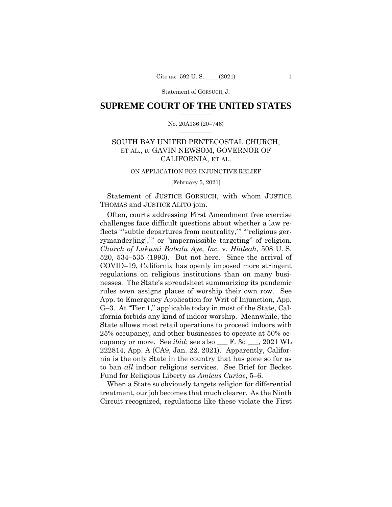# **SUPREME COURT OF THE UNITED STATES**  $\overline{\phantom{a}}$  , where  $\overline{\phantom{a}}$

## No. 20A136 (20–746)  $\overline{\phantom{a}}$  , where  $\overline{\phantom{a}}$

# SOUTH BAY UNITED PENTECOSTAL CHURCH, ET AL., *v.* GAVIN NEWSOM, GOVERNOR OF CALIFORNIA, ET AL.

#### ON APPLICATION FOR INJUNCTIVE RELIEF

[February 5, 2021]

Statement of JUSTICE GORSUCH, with whom JUSTICE THOMAS and JUSTICE ALITO join.

Often, courts addressing First Amendment free exercise challenges face difficult questions about whether a law reflects "'subtle departures from neutrality,'" "'religious gerrymander[ing],'" or "impermissible targeting" of religion. *Church of Lukumi Babalu Aye, Inc.* v. *Hialeah*, 508 U. S. 520, 534–535 (1993). But not here. Since the arrival of COVID–19, California has openly imposed more stringent regulations on religious institutions than on many businesses. The State's spreadsheet summarizing its pandemic rules even assigns places of worship their own row. See App. to Emergency Application for Writ of Injunction, App. G–3. At "Tier 1," applicable today in most of the State, California forbids any kind of indoor worship. Meanwhile, the State allows most retail operations to proceed indoors with 25% occupancy, and other businesses to operate at 50% occupancy or more. See *ibid*; see also \_\_\_ F. 3d \_\_\_, 2021 WL 222814, App. A (CA9, Jan. 22, 2021)*.* Apparently, California is the only State in the country that has gone so far as to ban *all* indoor religious services. See Brief for Becket Fund for Religious Liberty as *Amicus Curiae*, 5–6.

When a State so obviously targets religion for differential treatment, our job becomes that much clearer. As the Ninth Circuit recognized, regulations like these violate the First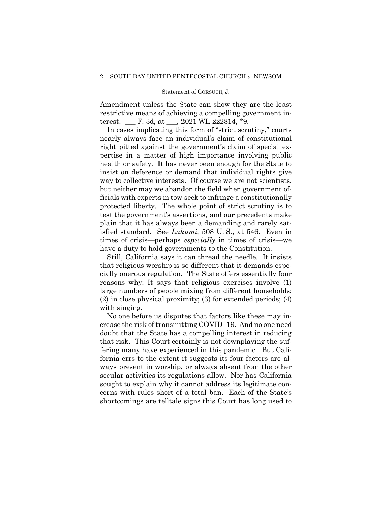Amendment unless the State can show they are the least restrictive means of achieving a compelling government interest. \_\_\_ F. 3d, at \_\_\_, 2021 WL 222814, \*9.

In cases implicating this form of "strict scrutiny," courts nearly always face an individual's claim of constitutional right pitted against the government's claim of special expertise in a matter of high importance involving public health or safety. It has never been enough for the State to insist on deference or demand that individual rights give way to collective interests. Of course we are not scientists, but neither may we abandon the field when government officials with experts in tow seek to infringe a constitutionally protected liberty. The whole point of strict scrutiny is to test the government's assertions, and our precedents make plain that it has always been a demanding and rarely satisfied standard. See *Lukumi*, 508 U. S., at 546. Even in times of crisis—perhaps *especially* in times of crisis—we have a duty to hold governments to the Constitution.

Still, California says it can thread the needle. It insists that religious worship is so different that it demands especially onerous regulation. The State offers essentially four reasons why: It says that religious exercises involve (1) large numbers of people mixing from different households; (2) in close physical proximity; (3) for extended periods; (4) with singing.

No one before us disputes that factors like these may increase the risk of transmitting COVID–19. And no one need doubt that the State has a compelling interest in reducing that risk. This Court certainly is not downplaying the suffering many have experienced in this pandemic. But California errs to the extent it suggests its four factors are always present in worship, or always absent from the other secular activities its regulations allow. Nor has California sought to explain why it cannot address its legitimate concerns with rules short of a total ban. Each of the State's shortcomings are telltale signs this Court has long used to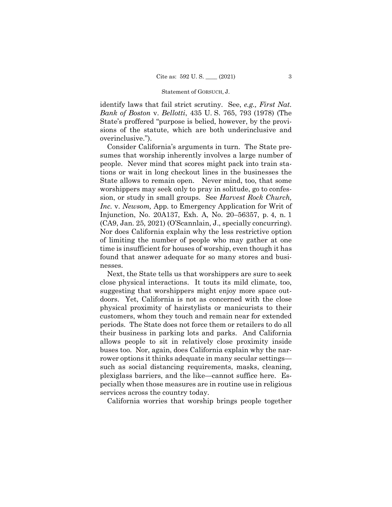identify laws that fail strict scrutiny. See, *e.g., First Nat. Bank of Boston* v. *Bellotti*, 435 U. S. 765, 793 (1978) (The State's proffered "purpose is belied, however, by the provisions of the statute, which are both underinclusive and overinclusive.").

Consider California's arguments in turn. The State presumes that worship inherently involves a large number of people. Never mind that scores might pack into train stations or wait in long checkout lines in the businesses the State allows to remain open. Never mind, too, that some worshippers may seek only to pray in solitude, go to confession, or study in small groups. See *Harvest Rock Church, Inc.* v. *Newsom,* App. to Emergency Application for Writ of Injunction, No. 20A137, Exh. A, No. 20–56357, p. 4, n. 1 (CA9, Jan. 25, 2021) (O'Scannlain, J., specially concurring). Nor does California explain why the less restrictive option of limiting the number of people who may gather at one time is insufficient for houses of worship, even though it has found that answer adequate for so many stores and businesses.

Next, the State tells us that worshippers are sure to seek close physical interactions. It touts its mild climate, too, suggesting that worshippers might enjoy more space outdoors. Yet, California is not as concerned with the close physical proximity of hairstylists or manicurists to their customers, whom they touch and remain near for extended periods. The State does not force them or retailers to do all their business in parking lots and parks. And California allows people to sit in relatively close proximity inside buses too. Nor, again, does California explain why the narrower options it thinks adequate in many secular settings such as social distancing requirements, masks, cleaning, plexiglass barriers, and the like—cannot suffice here. Especially when those measures are in routine use in religious services across the country today.

California worries that worship brings people together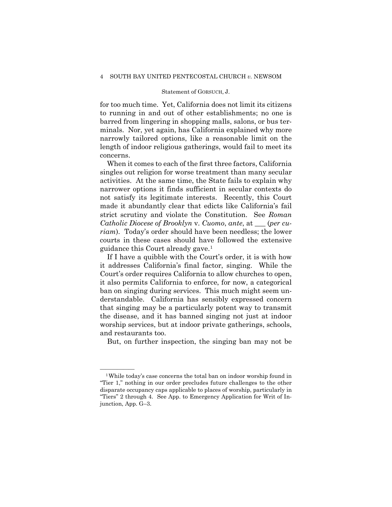for too much time. Yet, California does not limit its citizens to running in and out of other establishments; no one is barred from lingering in shopping malls, salons, or bus terminals. Nor, yet again, has California explained why more narrowly tailored options, like a reasonable limit on the length of indoor religious gatherings, would fail to meet its concerns.

When it comes to each of the first three factors, California singles out religion for worse treatment than many secular activities. At the same time, the State fails to explain why narrower options it finds sufficient in secular contexts do not satisfy its legitimate interests. Recently, this Court made it abundantly clear that edicts like California's fail strict scrutiny and violate the Constitution. See *Roman Catholic Diocese of Brooklyn* v. *Cuomo*, *ante*, at \_\_\_ (*per curiam*). Today's order should have been needless; the lower courts in these cases should have followed the extensive guidance this Court already gave.[1](#page-6-0)

If I have a quibble with the Court's order, it is with how it addresses California's final factor, singing. While the Court's order requires California to allow churches to open, it also permits California to enforce, for now, a categorical ban on singing during services. This much might seem understandable. California has sensibly expressed concern that singing may be a particularly potent way to transmit the disease, and it has banned singing not just at indoor worship services, but at indoor private gatherings, schools, and restaurants too.

But, on further inspection, the singing ban may not be

<span id="page-6-0"></span> $1$ While today's case concerns the total ban on indoor worship found in "Tier 1," nothing in our order precludes future challenges to the other disparate occupancy caps applicable to places of worship, particularly in "Tiers" 2 through 4. See App. to Emergency Application for Writ of Injunction, App. G–3.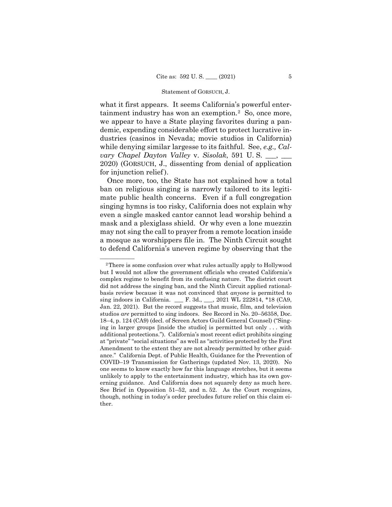what it first appears. It seems California's powerful enter-tainment industry has won an exemption.<sup>[2](#page-7-0)</sup> So, once more, we appear to have a State playing favorites during a pandemic, expending considerable effort to protect lucrative industries (casinos in Nevada; movie studios in California) while denying similar largesse to its faithful. See, *e.g., Calvary Chapel Dayton Valley* v. *Sisolak*, 591 U. S. \_\_\_, \_\_\_ 2020) (GORSUCH, J., dissenting from denial of application for injunction relief).

Once more, too, the State has not explained how a total ban on religious singing is narrowly tailored to its legitimate public health concerns. Even if a full congregation singing hymns is too risky, California does not explain why even a single masked cantor cannot lead worship behind a mask and a plexiglass shield. Or why even a lone muezzin may not sing the call to prayer from a remote location inside a mosque as worshippers file in. The Ninth Circuit sought to defend California's uneven regime by observing that the

<span id="page-7-0"></span><sup>&</sup>lt;sup>2</sup>There is some confusion over what rules actually apply to Hollywood but I would not allow the government officials who created California's complex regime to benefit from its confusing nature. The district court did not address the singing ban, and the Ninth Circuit applied rationalbasis review because it was not convinced that *anyone* is permitted to sing indoors in California. \_\_\_ F. 3d., \_\_\_, 2021 WL 222814, \*18 (CA9, Jan. 22, 2021). But the record suggests that music, film, and television studios *are* permitted to sing indoors. See Record in No. 20–56358, Doc. 18–4, p. 124 (CA9) (decl. of Screen Actors Guild General Counsel) ("Singing in larger groups [inside the studio] is permitted but only . . . with additional protections."). California's most recent edict prohibits singing at "private" "social situations" as well as "activities protected by the First Amendment to the extent they are not already permitted by other guidance." California Dept. of Public Health, Guidance for the Prevention of COVID–19 Transmission for Gatherings (updated Nov. 13, 2020). No one seems to know exactly how far this language stretches, but it seems unlikely to apply to the entertainment industry, which has its own governing guidance. And California does not squarely deny as much here. See Brief in Opposition 51–52, and n. 52. As the Court recognizes, though, nothing in today's order precludes future relief on this claim either.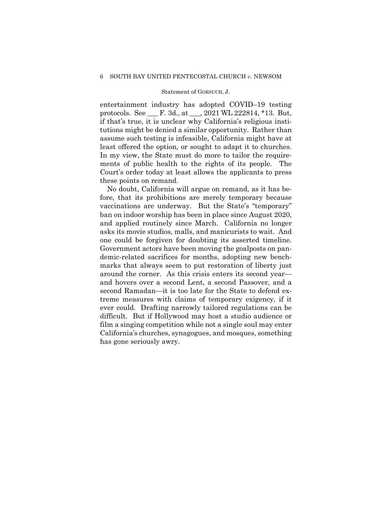entertainment industry has adopted COVID–19 testing protocols. See \_\_\_ F. 3d., at \_\_\_, 2021 WL 222814, \*13. But, if that's true, it is unclear why California's religious institutions might be denied a similar opportunity. Rather than assume such testing is infeasible, California might have at least offered the option, or sought to adapt it to churches. In my view, the State must do more to tailor the requirements of public health to the rights of its people. The Court's order today at least allows the applicants to press these points on remand.

No doubt, California will argue on remand, as it has before, that its prohibitions are merely temporary because vaccinations are underway. But the State's "temporary" ban on indoor worship has been in place since August 2020, and applied routinely since March. California no longer asks its movie studios, malls, and manicurists to wait. And one could be forgiven for doubting its asserted timeline. Government actors have been moving the goalposts on pandemic-related sacrifices for months, adopting new benchmarks that always seem to put restoration of liberty just around the corner. As this crisis enters its second year and hovers over a second Lent, a second Passover, and a second Ramadan—it is too late for the State to defend extreme measures with claims of temporary exigency, if it ever could. Drafting narrowly tailored regulations can be difficult. But if Hollywood may host a studio audience or film a singing competition while not a single soul may enter California's churches, synagogues, and mosques, something has gone seriously awry.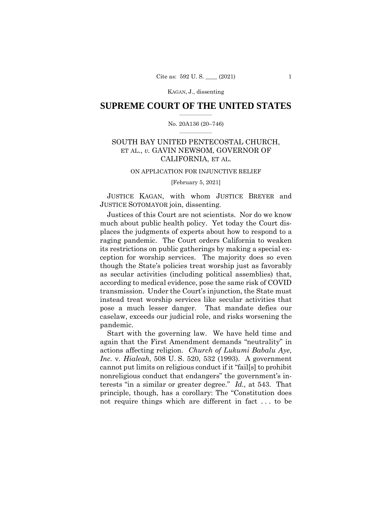# **SUPREME COURT OF THE UNITED STATES**  $\overline{\phantom{a}}$  , where  $\overline{\phantom{a}}$

## No. 20A136 (20–746)  $\overline{\phantom{a}}$  , where  $\overline{\phantom{a}}$

# SOUTH BAY UNITED PENTECOSTAL CHURCH, ET AL., *v.* GAVIN NEWSOM, GOVERNOR OF CALIFORNIA, ET AL.

#### ON APPLICATION FOR INJUNCTIVE RELIEF

[February 5, 2021]

 JUSTICE KAGAN, with whom JUSTICE BREYER and JUSTICE SOTOMAYOR join, dissenting.

Justices of this Court are not scientists. Nor do we know much about public health policy. Yet today the Court displaces the judgments of experts about how to respond to a raging pandemic. The Court orders California to weaken its restrictions on public gatherings by making a special exception for worship services. The majority does so even though the State's policies treat worship just as favorably as secular activities (including political assemblies) that, according to medical evidence, pose the same risk of COVID transmission. Under the Court's injunction, the State must instead treat worship services like secular activities that pose a much lesser danger. That mandate defies our caselaw, exceeds our judicial role, and risks worsening the pandemic.

Start with the governing law. We have held time and again that the First Amendment demands "neutrality" in actions affecting religion. *Church of Lukumi Babalu Aye, Inc.* v. *Hialeah*, 508 U. S. 520, 532 (1993). A government cannot put limits on religious conduct if it "fail[s] to prohibit nonreligious conduct that endangers" the government's interests "in a similar or greater degree." *Id.,* at 543. That principle, though, has a corollary: The "Constitution does not require things which are different in fact . . . to be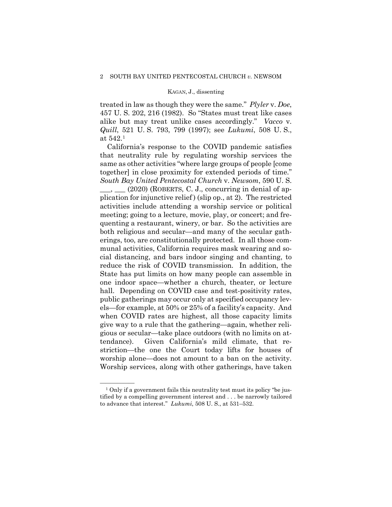treated in law as though they were the same." *Plyler* v. *Doe*, 457 U. S. 202, 216 (1982). So "States must treat like cases alike but may treat unlike cases accordingly." *Vacco* v. *Quill*, 521 U. S. 793, 799 (1997); see *Lukumi*, 508 U. S., at 542.[1](#page-10-0)

California's response to the COVID pandemic satisfies that neutrality rule by regulating worship services the same as other activities "where large groups of people [come together] in close proximity for extended periods of time." *South Bay United Pentecostal Church* v. *Newsom*, 590 U. S.

 $\_\_\_\_\_\_\_\_\_\_\_\_\_\_\_\_\_\_\_\_$  (2020) (ROBERTS, C. J., concurring in denial of application for injunctive relief ) (slip op., at 2). The restricted activities include attending a worship service or political meeting; going to a lecture, movie, play, or concert; and frequenting a restaurant, winery, or bar. So the activities are both religious and secular—and many of the secular gatherings, too, are constitutionally protected. In all those communal activities, California requires mask wearing and social distancing, and bars indoor singing and chanting, to reduce the risk of COVID transmission. In addition, the State has put limits on how many people can assemble in one indoor space—whether a church, theater, or lecture hall. Depending on COVID case and test-positivity rates, public gatherings may occur only at specified occupancy levels—for example, at 50% or 25% of a facility's capacity. And when COVID rates are highest, all those capacity limits give way to a rule that the gathering—again, whether religious or secular—take place outdoors (with no limits on attendance). Given California's mild climate, that restriction—the one the Court today lifts for houses of worship alone—does not amount to a ban on the activity. Worship services, along with other gatherings, have taken

<span id="page-10-0"></span> $<sup>1</sup>$  Only if a government fails this neutrality test must its policy "be jus-</sup> tified by a compelling government interest and . . . be narrowly tailored to advance that interest." *Lukumi*, 508 U. S., at 531–532.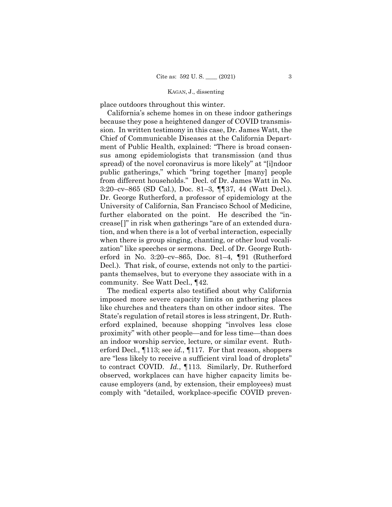place outdoors throughout this winter.

California's scheme homes in on these indoor gatherings because they pose a heightened danger of COVID transmission. In written testimony in this case, Dr. James Watt, the Chief of Communicable Diseases at the California Department of Public Health, explained: "There is broad consensus among epidemiologists that transmission (and thus spread) of the novel coronavirus is more likely" at "[i]ndoor public gatherings," which "bring together [many] people from different households." Decl. of Dr. James Watt in No. 3:20–cv–865 (SD Cal.), Doc. 81–3, ¶¶37, 44 (Watt Decl.). Dr. George Rutherford, a professor of epidemiology at the University of California, San Francisco School of Medicine, further elaborated on the point. He described the "increase[]" in risk when gatherings "are of an extended duration, and when there is a lot of verbal interaction, especially when there is group singing, chanting, or other loud vocalization" like speeches or sermons. Decl. of Dr. George Rutherford in No. 3:20–cv–865, Doc. 81–4, ¶91 (Rutherford Decl.). That risk, of course, extends not only to the participants themselves, but to everyone they associate with in a community. See Watt Decl., ¶42.

The medical experts also testified about why California imposed more severe capacity limits on gathering places like churches and theaters than on other indoor sites. The State's regulation of retail stores is less stringent, Dr. Rutherford explained, because shopping "involves less close proximity" with other people—and for less time—than does an indoor worship service, lecture, or similar event. Rutherford Decl., ¶113; see *id.*, ¶117. For that reason, shoppers are "less likely to receive a sufficient viral load of droplets" to contract COVID. *Id.*, ¶113*.* Similarly, Dr. Rutherford observed, workplaces can have higher capacity limits because employers (and, by extension, their employees) must comply with "detailed, workplace-specific COVID preven-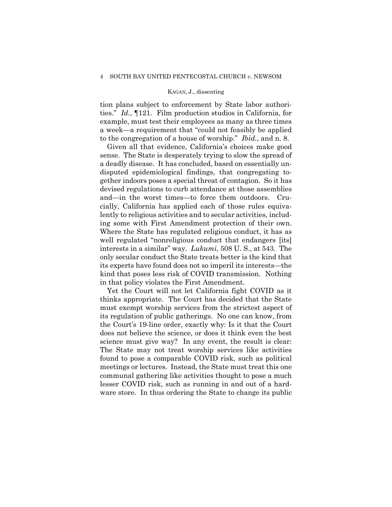tion plans subject to enforcement by State labor authorities." *Id.*, ¶121. Film production studios in California, for example, must test their employees as many as three times a week—a requirement that "could not feasibly be applied to the congregation of a house of worship." *Ibid.*, and n. 8.

Given all that evidence, California's choices make good sense. The State is desperately trying to slow the spread of a deadly disease. It has concluded, based on essentially undisputed epidemiological findings, that congregating together indoors poses a special threat of contagion. So it has devised regulations to curb attendance at those assemblies and—in the worst times—to force them outdoors. Crucially, California has applied each of those rules equivalently to religious activities and to secular activities, including some with First Amendment protection of their own. Where the State has regulated religious conduct, it has as well regulated "nonreligious conduct that endangers [its] interests in a similar" way. *Lukumi*, 508 U. S., at 543. The only secular conduct the State treats better is the kind that its experts have found does not so imperil its interests—the kind that poses less risk of COVID transmission. Nothing in that policy violates the First Amendment.

Yet the Court will not let California fight COVID as it thinks appropriate. The Court has decided that the State must exempt worship services from the strictest aspect of its regulation of public gatherings. No one can know, from the Court's 19-line order, exactly why: Is it that the Court does not believe the science, or does it think even the best science must give way? In any event, the result is clear: The State may not treat worship services like activities found to pose a comparable COVID risk, such as political meetings or lectures. Instead, the State must treat this one communal gathering like activities thought to pose a much lesser COVID risk, such as running in and out of a hardware store. In thus ordering the State to change its public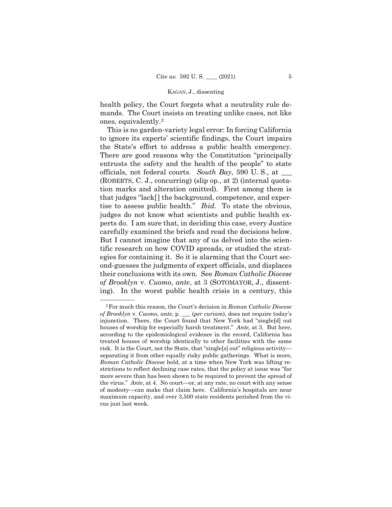health policy, the Court forgets what a neutrality rule demands. The Court insists on treating unlike cases, not like ones, equivalently.[2](#page-13-0)

This is no garden-variety legal error: In forcing California to ignore its experts' scientific findings, the Court impairs the State's effort to address a public health emergency. There are good reasons why the Constitution "principally entrusts the safety and the health of the people" to state officials, not federal courts. *South Bay*, 590 U. S., at \_\_\_ (ROBERTS, C. J., concurring) (slip op., at 2) (internal quotation marks and alteration omitted). First among them is that judges "lack[] the background, competence, and expertise to assess public health." *Ibid.* To state the obvious, judges do not know what scientists and public health experts do. I am sure that, in deciding this case, every Justice carefully examined the briefs and read the decisions below. But I cannot imagine that any of us delved into the scientific research on how COVID spreads, or studied the strategies for containing it. So it is alarming that the Court second-guesses the judgments of expert officials, and displaces their conclusions with its own. See *Roman Catholic Diocese of Brooklyn* v. *Cuomo*, *ante*, at 3 (SOTOMAYOR, J., dissenting). In the worst public health crisis in a century, this

<span id="page-13-0"></span><sup>—————— 2</sup>For much this reason, the Court's decision in *Roman Catholic Diocese of Brooklyn* v. *Cuomo*, *ante,* p. \_\_\_ (*per curiam*), does not require today's injunction. There, the Court found that New York had "single[d] out houses of worship for especially harsh treatment." *Ante,* at 3. But here, according to the epidemiological evidence in the record, California has treated houses of worship identically to other facilities with the same risk. It is the Court, not the State, that "single[s] out" religious activity separating it from other equally risky public gatherings. What is more, *Roman Catholic Diocese* held, at a time when New York was lifting restrictions to reflect declining case rates, that the policy at issue was "far more severe than has been shown to be required to prevent the spread of the virus." *Ante*, at 4. No court—or, at any rate, no court with any sense of modesty—can make that claim here. California's hospitals are near maximum capacity, and over 3,500 state residents perished from the virus just last week.